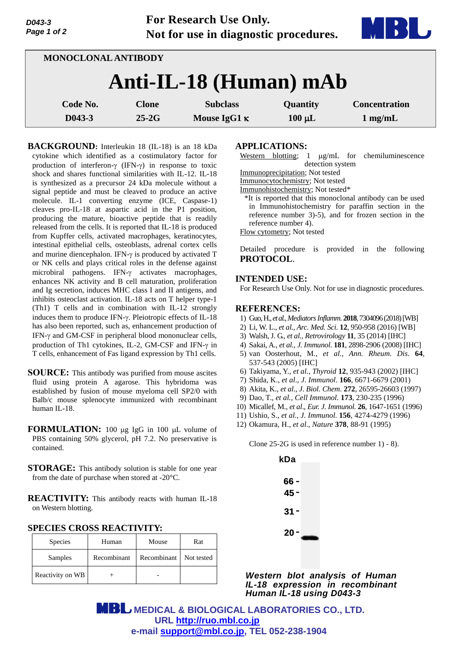**For Research Use Only. Not for use in diagnostic procedures.**



| MONOCLONAL ANTIBODY    |              |                     |             |                      |  |
|------------------------|--------------|---------------------|-------------|----------------------|--|
| Anti-IL-18 (Human) mAb |              |                     |             |                      |  |
| Code No.               | <b>Clone</b> | <b>Subclass</b>     | Quantity    | <b>Concentration</b> |  |
| D043-3                 | $25-2G$      | Mouse IgG1 $\kappa$ | $100 \mu L$ | $1 \text{ mg/mL}$    |  |

**BACKGROUND:** Interleukin 18 (IL-18) is an 18 kDa cytokine which identified as a costimulatory factor for production of interferon- $\gamma$  (IFN- $\gamma$ ) in response to toxic shock and shares functional similarities with IL-12. IL-18 is synthesized as a precursor 24 kDa molecule without a signal peptide and must be cleaved to produce an active molecule. IL-1 converting enzyme (ICE, Caspase-1) cleaves pro-IL-18 at aspartic acid in the P1 position, producing the mature, bioactive peptide that is readily released from the cells. It is reported that IL-18 is produced from Kupffer cells, activated macrophages, keratinocytes, intestinal epithelial cells, osteoblasts, adrenal cortex cells and murine diencephalon. IFN- $\gamma$  is produced by activated T or NK cells and plays critical roles in the defense against microbiral pathogens. IFN- $\gamma$  activates macrophages, enhances NK activity and B cell maturation, proliferation and Ig secretion, induces MHC class I and II antigens, and inhibits osteoclast activation. IL-18 acts on T helper type-1 (Th1) T cells and in combination with IL-12 strongly induces them to produce IFN- $\gamma$ . Pleiotropic effects of IL-18 has also been reported, such as, enhancement production of IFN- $\gamma$  and GM-CSF in peripheral blood mononuclear cells, production of Th1 cytokines, IL-2, GM-CSF and IFN- $\gamma$  in T cells, enhancement of Fas ligand expression by Th1 cells.

**SOURCE:** This antibody was purified from mouse ascites fluid using protein A agarose. This hybridoma was established by fusion of mouse myeloma cell SP2/0 with Balb/c mouse splenocyte immunized with recombinant human IL-18.

- **FORMULATION:** 100 µg IgG in 100 µL volume of PBS containing 50% glycerol, pH 7.2. No preservative is contained.
- **STORAGE:** This antibody solution is stable for one year from the date of purchase when stored at -20°C.

**REACTIVITY:** This antibody reacts with human IL-18 on Western blotting.

|  |  | <b>SPECIES CROSS REACTIVITY:</b> |
|--|--|----------------------------------|
|--|--|----------------------------------|

| <b>Species</b>   | Human       | Mouse       | Rat        |
|------------------|-------------|-------------|------------|
| Samples          | Recombinant | Recombinant | Not tested |
| Reactivity on WB |             |             |            |

## **APPLICATIONS:**

- Western blotting;  $1 \mu g/mL$  for chemiluminescence detection system
- Immunoprecipitation; Not tested

Immunocytochemistry; Not tested

Immunohistochemistry; Not tested\*

\*It is reported that this monoclonal antibody can be used in Immunohistochemistry for paraffin section in the reference number 3)-5), and for frozen section in the reference number 4).

Flow cytometry; Not tested

Detailed procedure is provided in the following **PROTOCOL**.

## **INTENDED USE:**

For Research Use Only. Not for use in diagnostic procedures.

## **REFERENCES:**

- 1) Guo,H., *et al., Mediators Inflamm.* **2018**, 7304096 (2018)[WB]
- 2) Li, W. L., *et al., Arc. Med. Sci.* **12**, 950-958 (2016) [WB]
- 3) Walsh, J. G., *et al., Retrovirology* **11**, 35 (2014) [IHC]
- 4) Sakai, A., *et al., J. Immunol*. **181**, 2898-2906 (2008) [IHC]
- 5) van Oosterhout, M., *et al., Ann. Rheum. Dis*. **64**, 537-543 (2005) [IHC]
- 6) Takiyama, Y., *et al., Thyroid* **12**, 935-943 (2002) [IHC]
- 7) Shida, K., *et al*., *J*. *Immunol*. **166**, 6671-6679 (2001)
- 8) Akita, K., *et al*., *J*. *Biol*. *Chem*. **272**, 26595-26603 (1997)
- 9) Dao, T., *et al., Cell Immunol.* **173**, 230-235 (1996)
- 10) Micallef, M., *et al*., *Eur. J. Immunol.* **26**, 1647-1651 (1996)
- 11) Ushio, S., *et al., J. Immunol.* **156**, 4274-4279 (1996)
- 12) Okamura, H., *et al*., *Nature* **378**, 88-91 (1995)

Clone 25-2G is used in reference number 1) - 8).



*Western blot analysis of Human IL-18 expression in recombinant Human IL-18 using D043-3*

 **MEDICAL & BIOLOGICAL LABORATORIES CO., LTD. URL [http://ruo.mbl.co.jp](https://ruo.mbl.co.jp/) e-mail [support@mbl.co.jp,](mailto:support@mbl.co.jp) TEL 052-238-1904**